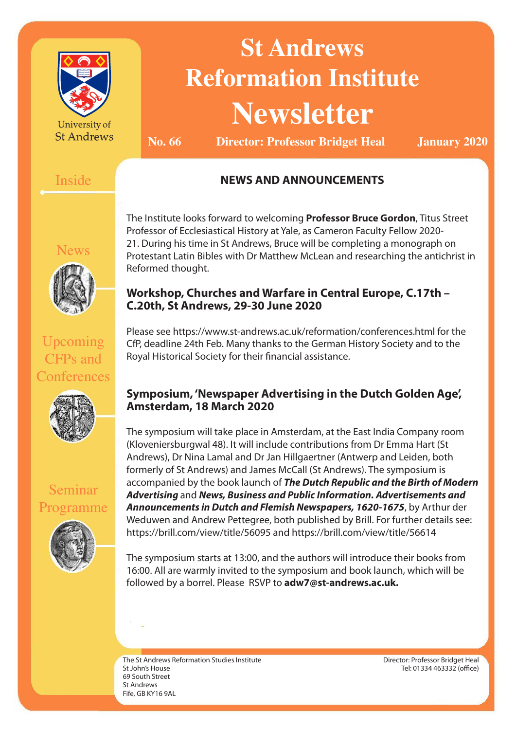

University of **St Andrews** 

# **St Andrews Reformation Institute Newsletter**

**No. 66 Director: Professor Bridget Heal January 2020**

#### Inside

#### **NEWS AND ANNOUNCEMENTS**

lews



The Institute looks forward to welcoming **Professor Bruce Gordon**, Titus Street Professor of Ecclesiastical History at Yale, as Cameron Faculty Fellow 2020- 21. During his time in St Andrews, Bruce will be completing a monograph on Protestant Latin Bibles with Dr Matthew McLean and researching the antichrist in Reformed thought.

#### **Workshop, Churches and Warfare in Central Europe, C.17th – C.20th, St Andrews, 29-30 June 2020**

Upcoming CFPs and **Conferences** 



Seminar

Programme

CfP, deadline 24th Feb. Many thanks to the German History Society and to the Royal Historical Society for their financial assistance.

Please see https://www.st-andrews.ac.uk/reformation/conferences.html for the

#### **Symposium, 'Newspaper Advertising in the Dutch Golden Age', Amsterdam, 18 March 2020**

The symposium will take place in Amsterdam, at the East India Company room (Kloveniersburgwal 48). It will include contributions from Dr Emma Hart (St Andrews), Dr Nina Lamal and Dr Jan Hillgaertner (Antwerp and Leiden, both formerly of St Andrews) and James McCall (St Andrews). The symposium is accompanied by the book launch of *The Dutch Republic and the Birth of Modern Advertising* and *News, Business and Public Information. Advertisements and Announcements in Dutch and Flemish Newspapers, 1620-1675*, by Arthur der Weduwen and Andrew Pettegree, both published by Brill. For further details see: https://brill.com/view/title/56095 and https://brill.com/view/title/56614

The symposium starts at 13:00, and the authors will introduce their books from 16:00. All are warmly invited to the symposium and book launch, which will be followed by a borrel. Please RSVP to **adw7@st-andrews.ac.uk.**

The St Andrews Reformation Studies Institute St John's House 69 South Street St Andrews Fife, GB KY16 9AL

Director: Professor Bridget Heal Tel: 01334 463332 (office)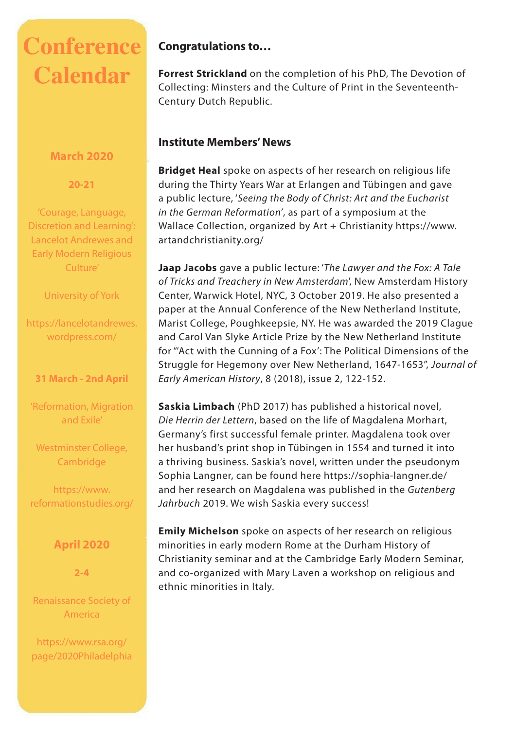## **Conference Calendar**

#### **March 2020**

**20-21**

'Courage, Language, Discretion and Learning': Lancelot Andrewes and Early Modern Religious Culture'

University of York

https://lancelotandrewes. wordpress.com/

#### **31 March - 2nd April**

'Reformation, Migration and Exile'

Westminster College, **Cambridge** 

https://www. reformationstudies.org/

#### **April 2020**

**2-4**

Renaissance Society of America

https://www.rsa.org/ page/2020Philadelphia

#### **Congratulations to…**

**Forrest Strickland** on the completion of his PhD, The Devotion of Collecting: Minsters and the Culture of Print in the Seventeenth-Century Dutch Republic.

#### **Institute Members' News**

**Bridget Heal** spoke on aspects of her research on religious life during the Thirty Years War at Erlangen and Tübingen and gave a public lecture, '*Seeing the Body of Christ: Art and the Eucharist in the German Reformation'*, as part of a symposium at the Wallace Collection, organized by Art + Christianity https://www. artandchristianity.org/

**Jaap Jacobs** gave a public lecture: '*The Lawyer and the Fox: A Tale of Tricks and Treachery in New Amsterdam*', New Amsterdam History Center, Warwick Hotel, NYC, 3 October 2019. He also presented a paper at the Annual Conference of the New Netherland Institute, Marist College, Poughkeepsie, NY. He was awarded the 2019 Clague and Carol Van Slyke Article Prize by the New Netherland Institute for "'Act with the Cunning of a Fox': The Political Dimensions of the Struggle for Hegemony over New Netherland, 1647-1653", *Journal of Early American History*, 8 (2018), issue 2, 122-152.

**Saskia Limbach** (PhD 2017) has published a historical novel, *Die Herrin der Lettern*, based on the life of Magdalena Morhart, Germany's first successful female printer. Magdalena took over her husband's print shop in Tübingen in 1554 and turned it into a thriving business. Saskia's novel, written under the pseudonym Sophia Langner, can be found here https://sophia-langner.de/ and her research on Magdalena was published in the *Gutenberg Jahrbuch* 2019. We wish Saskia every success!

**Emily Michelson** spoke on aspects of her research on religious minorities in early modern Rome at the Durham History of Christianity seminar and at the Cambridge Early Modern Seminar, and co-organized with Mary Laven a workshop on religious and ethnic minorities in Italy.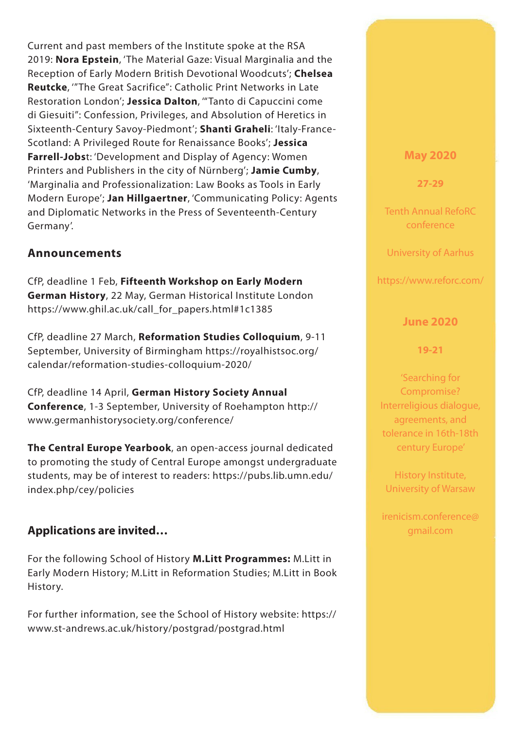Current and past members of the Institute spoke at the RSA 2019: **Nora Epstein**, 'The Material Gaze: Visual Marginalia and the Reception of Early Modern British Devotional Woodcuts'; **Chelsea Reutcke**, '"The Great Sacrifice": Catholic Print Networks in Late Restoration London'; **Jessica Dalton**, '"Tanto di Capuccini come di Giesuiti": Confession, Privileges, and Absolution of Heretics in Sixteenth-Century Savoy-Piedmont'; **Shanti Graheli**: 'Italy-France-Scotland: A Privileged Route for Renaissance Books'; **Jessica Farrell-Jobs**t: 'Development and Display of Agency: Women Printers and Publishers in the city of Nürnberg'; **Jamie Cumby**, 'Marginalia and Professionalization: Law Books as Tools in Early Modern Europe'; **Jan Hillgaertner**, 'Communicating Policy: Agents and Diplomatic Networks in the Press of Seventeenth-Century Germany'.

#### **Announcements**

CfP, deadline 1 Feb, **Fifteenth Workshop on Early Modern German History**, 22 May, German Historical Institute London https://www.ghil.ac.uk/call\_for\_papers.html#1c1385

CfP, deadline 27 March, **Reformation Studies Colloquium**, 9-11 September, University of Birmingham https://royalhistsoc.org/ calendar/reformation-studies-colloquium-2020/

CfP, deadline 14 April, **German History Society Annual Conference**, 1-3 September, University of Roehampton http:// www.germanhistorysociety.org/conference/

**The Central Europe Yearbook**, an open-access journal dedicated to promoting the study of Central Europe amongst undergraduate students, may be of interest to readers: https://pubs.lib.umn.edu/ index.php/cey/policies

#### **Applications are invited…**

For the following School of History **M.Litt Programmes:** M.Litt in Early Modern History; M.Litt in Reformation Studies; M.Litt in Book History.

For further information, see the School of History website: https:// www.st-andrews.ac.uk/history/postgrad/postgrad.html

#### **May 2020**

**27-29**

Tenth Annual RefoRC conference

University of Aarhus

https://www.reforc.com/

#### **June 2020**

#### **19-21**

'Searching for Compromise? Interreligious dialogue, agreements, and tolerance in 16th-18th century Europe'

History Institute, University of Warsaw

irenicism.conference@ gmail.com